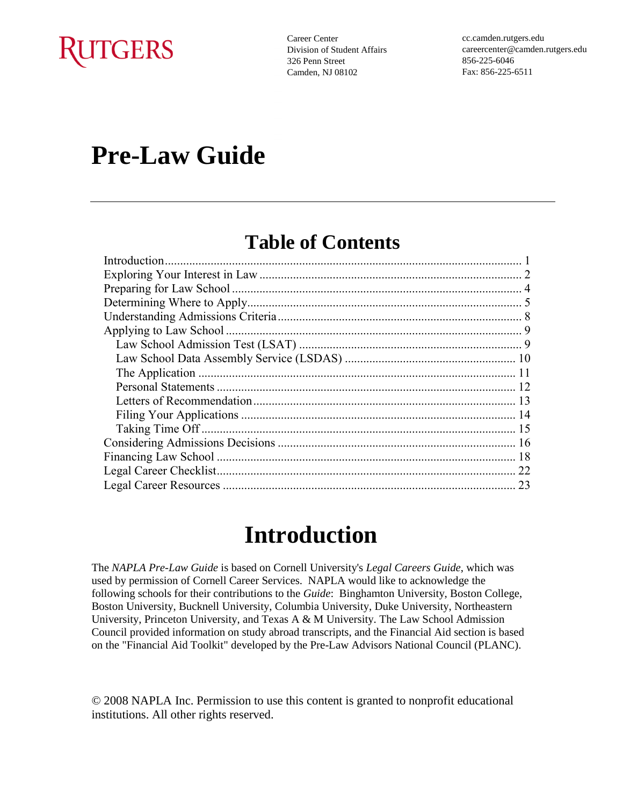# **RUTGERS**

Career Center Division of Student Affairs 326 Penn Street Camden, NJ 08102

cc.camden.rutgers.edu careercenter@camden.rutgers.edu 856-225-6046 Fax: 856-225-6511

# **Pre-Law Guide**

## **Table of Contents**

## **Introduction**

The *NAPLA Pre-Law Guide* is based on Cornell University's *Legal Careers Guide*, which was used by permission of Cornell Career Services. NAPLA would like to acknowledge the following schools for their contributions to the *Guide*: Binghamton University, Boston College, Boston University, Bucknell University, Columbia University, Duke University, Northeastern University, Princeton University, and Texas A & M University. The Law School Admission Council provided information on study abroad transcripts, and the Financial Aid section is based on the "Financial Aid Toolkit" developed by the Pre-Law Advisors National Council (PLANC).

© 2008 NAPLA Inc. Permission to use this content is granted to nonprofit educational institutions. All other rights reserved.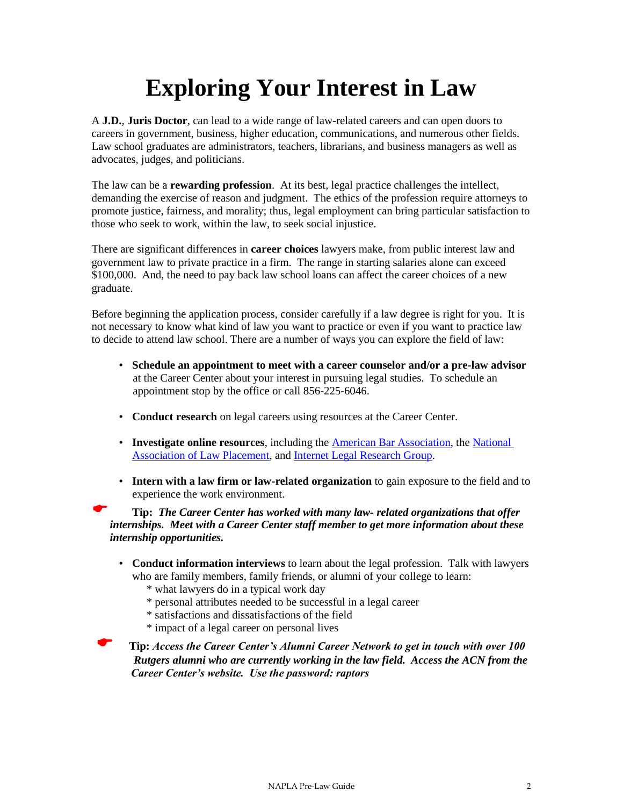# **Exploring Your Interest in Law**

A **J.D.**, **Juris Doctor**, can lead to a wide range of law-related careers and can open doors to careers in government, business, higher education, communications, and numerous other fields. Law school graduates are administrators, teachers, librarians, and business managers as well as advocates, judges, and politicians.

The law can be a **rewarding profession**. At its best, legal practice challenges the intellect, demanding the exercise of reason and judgment. The ethics of the profession require attorneys to promote justice, fairness, and morality; thus, legal employment can bring particular satisfaction to those who seek to work, within the law, to seek social injustice.

There are significant differences in **career choices** lawyers make, from public interest law and government law to private practice in a firm. The range in starting salaries alone can exceed \$100,000. And, the need to pay back law school loans can affect the career choices of a new graduate.

Before beginning the application process, consider carefully if a law degree is right for you. It is not necessary to know what kind of law you want to practice or even if you want to practice law to decide to attend law school. There are a number of ways you can explore the field of law:

- **Schedule an appointment to meet with a career counselor and/or a pre-law advisor** at the Career Center about your interest in pursuing legal studies. To schedule an appointment stop by the office or call 856-225-6046.
- **Conduct research** on legal careers using resources at the Career Center.
- **Investigate online resources**, including the [American Bar Association,](http://www.abanet.org/) the [National](http://www.nalp.org/)  [Association of Law Placement,](http://www.nalp.org/) and [Internet Legal Research Group.](http://www.ilrg.com/)
- **Intern with a law firm or law-related organization** to gain exposure to the field and to experience the work environment.

 **Tip:** *The Career Center has worked with many law- related organizations that offer internships. Meet with a Career Center staff member to get more information about these internship opportunities.*

- **Conduct information interviews** to learn about the legal profession. Talk with lawyers who are family members, family friends, or alumni of your college to learn:
	- \* what lawyers do in a typical work day
	- \* personal attributes needed to be successful in a legal career
	- \* satisfactions and dissatisfactions of the field
	- \* impact of a legal career on personal lives

 **Tip:** *Access the Career Center's Alumni Career Network to get in touch with over 100 Rutgers alumni who are currently working in the law field. Access the ACN from the Career Center's website. Use the password: raptors*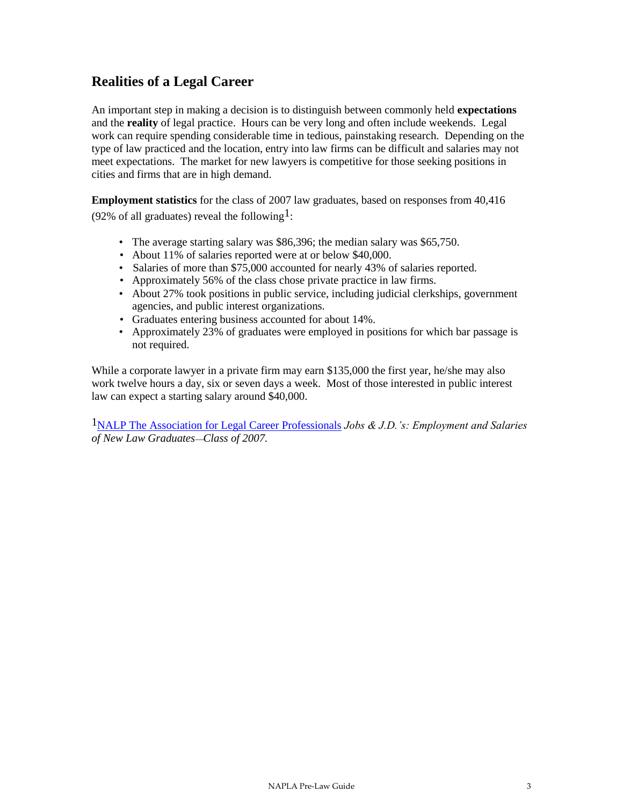## **Realities of a Legal Career**

An important step in making a decision is to distinguish between commonly held **expectations** and the **reality** of legal practice. Hours can be very long and often include weekends. Legal work can require spending considerable time in tedious, painstaking research. Depending on the type of law practiced and the location, entry into law firms can be difficult and salaries may not meet expectations. The market for new lawyers is competitive for those seeking positions in cities and firms that are in high demand.

**Employment statistics** for the class of 2007 law graduates, based on responses from 40,416 (92% of all graduates) reveal the following<sup>1</sup>:

- The average starting salary was \$86,396; the median salary was \$65,750.
- About 11% of salaries reported were at or below \$40,000.
- Salaries of more than \$75,000 accounted for nearly 43% of salaries reported.
- Approximately 56% of the class chose private practice in law firms.
- About 27% took positions in public service, including judicial clerkships, government agencies, and public interest organizations.
- Graduates entering business accounted for about 14%.
- Approximately 23% of graduates were employed in positions for which bar passage is not required.

While a corporate lawyer in a private firm may earn \$135,000 the first year, he/she may also work twelve hours a day, six or seven days a week. Most of those interested in public interest law can expect a starting salary around \$40,000.

1NALP The [Association for Legal Career Professionals](http://www.nalp.org/content/index.php?pid=147) *Jobs & J.D.'s: Employment and Salaries of New Law GraduatesClass of 2007.*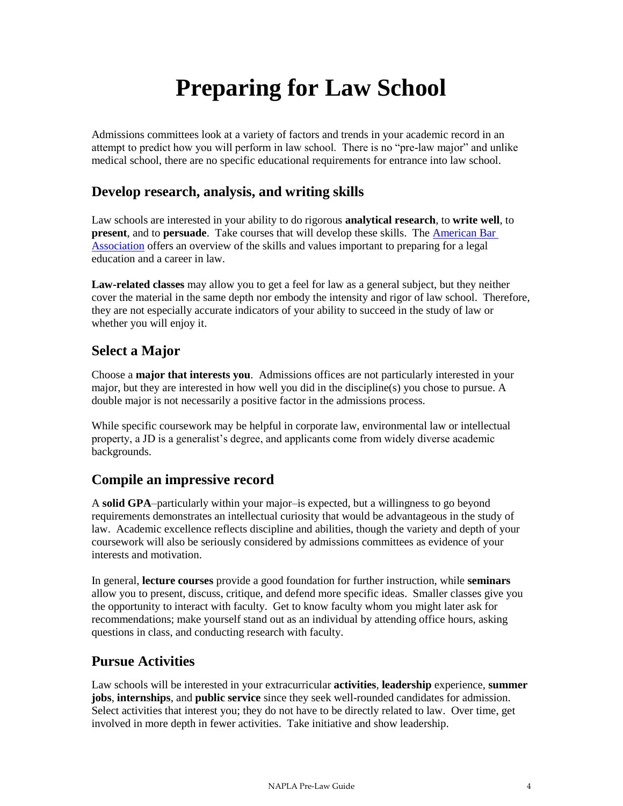# **Preparing for Law School**

Admissions committees look at a variety of factors and trends in your academic record in an attempt to predict how you will perform in law school. There is no "pre-law major" and unlike medical school, there are no specific educational requirements for entrance into law school.

## **Develop research, analysis, and writing skills**

Law schools are interested in your ability to do rigorous **analytical research**, to **write well**, to **present**, and to **persuade**. Take courses that will develop these skills. The [American Bar](http://www.abanet.org/)  [Association](http://www.abanet.org/) offers an overview of the skills and values important to preparing for a legal education and a career in law.

**Law-related classes** may allow you to get a feel for law as a general subject, but they neither cover the material in the same depth nor embody the intensity and rigor of law school. Therefore, they are not especially accurate indicators of your ability to succeed in the study of law or whether you will enjoy it.

## **Select a Major**

Choose a **major that interests you**. Admissions offices are not particularly interested in your major, but they are interested in how well you did in the discipline(s) you chose to pursue. A double major is not necessarily a positive factor in the admissions process.

While specific coursework may be helpful in corporate law, environmental law or intellectual property, a JD is a generalist's degree, and applicants come from widely diverse academic backgrounds.

## **Compile an impressive record**

A **solid GPA**–particularly within your major–is expected, but a willingness to go beyond requirements demonstrates an intellectual curiosity that would be advantageous in the study of law. Academic excellence reflects discipline and abilities, though the variety and depth of your coursework will also be seriously considered by admissions committees as evidence of your interests and motivation.

In general, **lecture courses** provide a good foundation for further instruction, while **seminars** allow you to present, discuss, critique, and defend more specific ideas. Smaller classes give you the opportunity to interact with faculty. Get to know faculty whom you might later ask for recommendations; make yourself stand out as an individual by attending office hours, asking questions in class, and conducting research with faculty.

## **Pursue Activities**

Law schools will be interested in your extracurricular **activities**, **leadership** experience, **summer jobs**, **internships**, and **public service** since they seek well-rounded candidates for admission. Select activities that interest you; they do not have to be directly related to law. Over time, get involved in more depth in fewer activities. Take initiative and show leadership.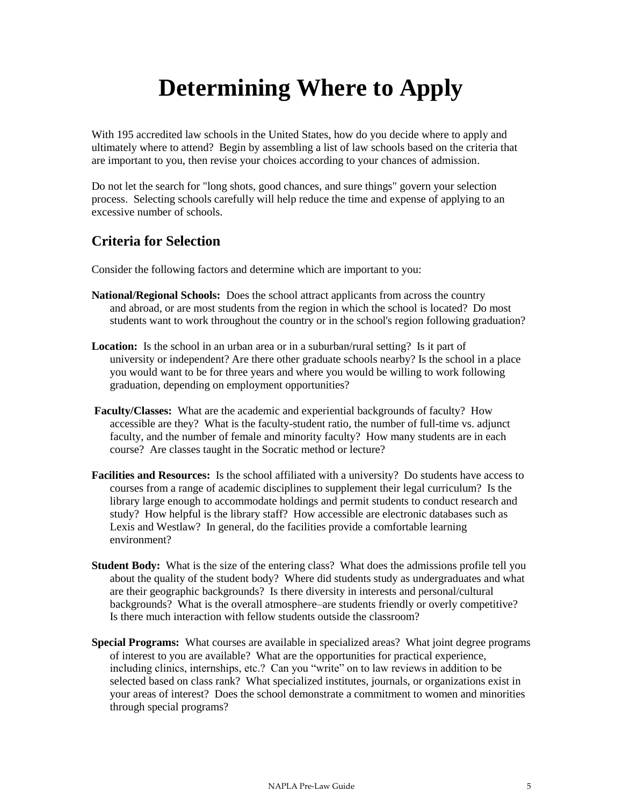# **Determining Where to Apply**

With 195 accredited law schools in the United States, how do you decide where to apply and ultimately where to attend? Begin by assembling a list of law schools based on the criteria that are important to you, then revise your choices according to your chances of admission.

Do not let the search for "long shots, good chances, and sure things" govern your selection process. Selecting schools carefully will help reduce the time and expense of applying to an excessive number of schools.

## **Criteria for Selection**

Consider the following factors and determine which are important to you:

- **National/Regional Schools:** Does the school attract applicants from across the country and abroad, or are most students from the region in which the school is located? Do most students want to work throughout the country or in the school's region following graduation?
- **Location:** Is the school in an urban area or in a suburban/rural setting? Is it part of university or independent? Are there other graduate schools nearby? Is the school in a place you would want to be for three years and where you would be willing to work following graduation, depending on employment opportunities?
- **Faculty/Classes:** What are the academic and experiential backgrounds of faculty? How accessible are they? What is the faculty-student ratio, the number of full-time vs. adjunct faculty, and the number of female and minority faculty? How many students are in each course? Are classes taught in the Socratic method or lecture?
- **Facilities and Resources:** Is the school affiliated with a university? Do students have access to courses from a range of academic disciplines to supplement their legal curriculum? Is the library large enough to accommodate holdings and permit students to conduct research and study? How helpful is the library staff? How accessible are electronic databases such as Lexis and Westlaw? In general, do the facilities provide a comfortable learning environment?
- **Student Body:** What is the size of the entering class? What does the admissions profile tell you about the quality of the student body? Where did students study as undergraduates and what are their geographic backgrounds? Is there diversity in interests and personal/cultural backgrounds? What is the overall atmosphere–are students friendly or overly competitive? Is there much interaction with fellow students outside the classroom?
- **Special Programs:** What courses are available in specialized areas? What joint degree programs of interest to you are available? What are the opportunities for practical experience, including clinics, internships, etc.? Can you "write" on to law reviews in addition to be selected based on class rank? What specialized institutes, journals, or organizations exist in your areas of interest? Does the school demonstrate a commitment to women and minorities through special programs?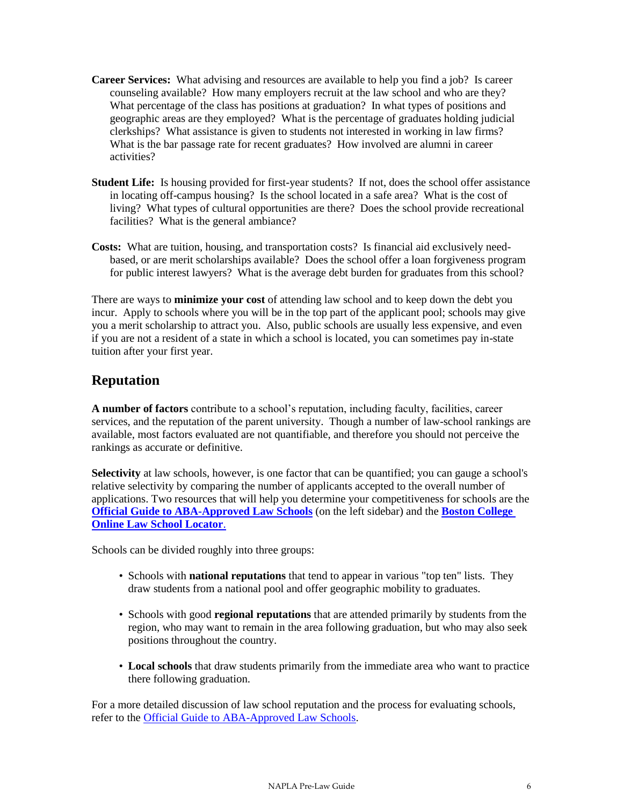- **Career Services:** What advising and resources are available to help you find a job? Is career counseling available? How many employers recruit at the law school and who are they? What percentage of the class has positions at graduation? In what types of positions and geographic areas are they employed? What is the percentage of graduates holding judicial clerkships? What assistance is given to students not interested in working in law firms? What is the bar passage rate for recent graduates? How involved are alumni in career activities?
- **Student Life:** Is housing provided for first-year students? If not, does the school offer assistance in locating off-campus housing? Is the school located in a safe area? What is the cost of living? What types of cultural opportunities are there? Does the school provide recreational facilities? What is the general ambiance?
- **Costs:** What are tuition, housing, and transportation costs? Is financial aid exclusively needbased, or are merit scholarships available? Does the school offer a loan forgiveness program for public interest lawyers? What is the average debt burden for graduates from this school?

There are ways to **minimize your cost** of attending law school and to keep down the debt you incur. Apply to schools where you will be in the top part of the applicant pool; schools may give you a merit scholarship to attract you. Also, public schools are usually less expensive, and even if you are not a resident of a state in which a school is located, you can sometimes pay in-state tuition after your first year.

## **Reputation**

**A number of factors** contribute to a school's reputation, including faculty, facilities, career services, and the reputation of the parent university. Though a number of law-school rankings are available, most factors evaluated are not quantifiable, and therefore you should not perceive the rankings as accurate or definitive.

**Selectivity** at law schools, however, is one factor that can be quantified; you can gauge a school's relative selectivity by comparing the number of applicants accepted to the overall number of applications. Two resources that will help you determine your competitiveness for schools are the **[Official Guide to ABA-Approved Law Schools](http://officialguide.lsac.org/)** (on the left sidebar) and the **[Boston College](http://www.bc.edu/offices/careers/gradschool/law/lawlocator.html#the25)  [Online Law School Locator](http://www.bc.edu/offices/careers/gradschool/law/lawlocator.html#the25)**.

Schools can be divided roughly into three groups:

- Schools with **national reputations** that tend to appear in various "top ten" lists. They draw students from a national pool and offer geographic mobility to graduates.
- Schools with good **regional reputations** that are attended primarily by students from the region, who may want to remain in the area following graduation, but who may also seek positions throughout the country.
- **Local schools** that draw students primarily from the immediate area who want to practice there following graduation.

For a more detailed discussion of law school reputation and the process for evaluating schools, refer to the [Official Guide to ABA-Approved Law Schools.](http://officialguide.lsac.org/)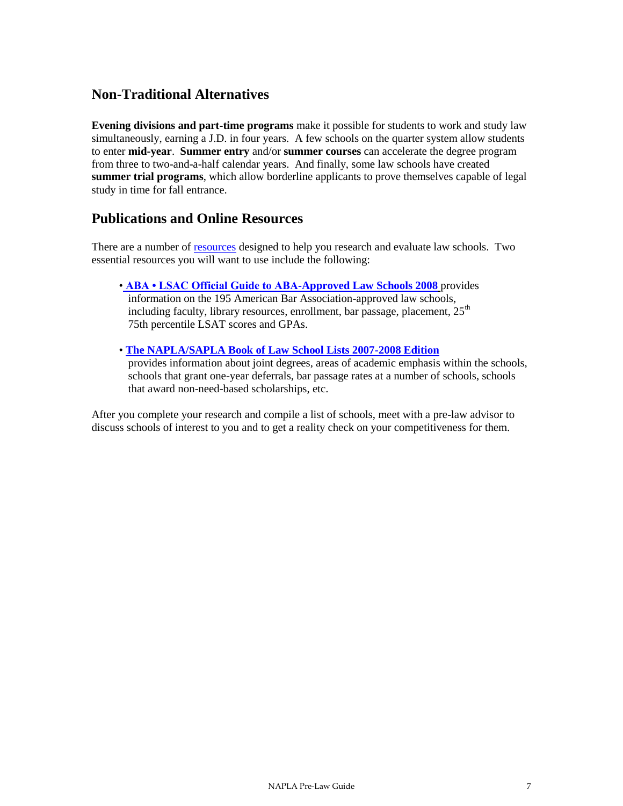## **Non-Traditional Alternatives**

**Evening divisions and part-time programs** make it possible for students to work and study law simultaneously, earning a J.D. in four years. A few schools on the quarter system allow students to enter **mid-year**. **Summer entry** and/or **summer courses** can accelerate the degree program from three to two-and-a-half calendar years. And finally, some law schools have created **summer trial programs**, which allow borderline applicants to prove themselves capable of legal study in time for fall entrance.

## **Publications and Online Resources**

There are a number of [resources](http://www.lsac.org/LSAC.asp?url=lsac/download-forms-guidelines-checklists.asp#pre-law-resources) designed to help you research and evaluate law schools. Two essential resources you will want to use include the following:

- **[ABA LSAC Official Guide to ABA-Approved Law Schools 2008](http://officialguide.lsac.org/)** provides information on the 195 American Bar Association-approved law schools, including faculty, library resources, enrollment, bar passage, placement,  $25<sup>th</sup>$ 75th percentile LSAT scores and GPAs.
- **[The NAPLA/SAPLA Book of Law School Lists 2007-2008 Edition](http://www.bu.edu/cas/advising/LSAT.pdf)** provides information about joint degrees, areas of academic emphasis within the schools, schools that grant one-year deferrals, bar passage rates at a number of schools, schools that award non-need-based scholarships, etc.

After you complete your research and compile a list of schools, meet with a pre-law advisor to discuss schools of interest to you and to get a reality check on your competitiveness for them.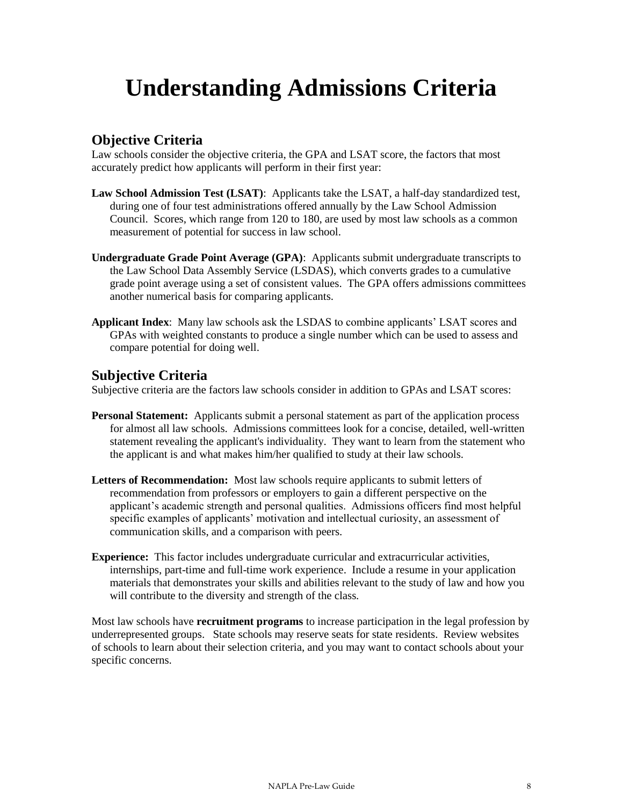# **Understanding Admissions Criteria**

## **Objective Criteria**

Law schools consider the objective criteria, the GPA and LSAT score, the factors that most accurately predict how applicants will perform in their first year:

- **Law School Admission Test (LSAT)**: Applicants take the LSAT, a half-day standardized test, during one of four test administrations offered annually by the Law School Admission Council. Scores, which range from 120 to 180, are used by most law schools as a common measurement of potential for success in law school.
- **Undergraduate Grade Point Average (GPA)**: Applicants submit undergraduate transcripts to the Law School Data Assembly Service (LSDAS), which converts grades to a cumulative grade point average using a set of consistent values. The GPA offers admissions committees another numerical basis for comparing applicants.
- **Applicant Index**: Many law schools ask the LSDAS to combine applicants' LSAT scores and GPAs with weighted constants to produce a single number which can be used to assess and compare potential for doing well.

## **Subjective Criteria**

Subjective criteria are the factors law schools consider in addition to GPAs and LSAT scores:

- **Personal Statement:** Applicants submit a personal statement as part of the application process for almost all law schools. Admissions committees look for a concise, detailed, well-written statement revealing the applicant's individuality. They want to learn from the statement who the applicant is and what makes him/her qualified to study at their law schools.
- **Letters of Recommendation:** Most law schools require applicants to submit letters of recommendation from professors or employers to gain a different perspective on the applicant's academic strength and personal qualities. Admissions officers find most helpful specific examples of applicants' motivation and intellectual curiosity, an assessment of communication skills, and a comparison with peers.
- **Experience:** This factor includes undergraduate curricular and extracurricular activities, internships, part-time and full-time work experience. Include a resume in your application materials that demonstrates your skills and abilities relevant to the study of law and how you will contribute to the diversity and strength of the class.

Most law schools have **recruitment programs** to increase participation in the legal profession by underrepresented groups. State schools may reserve seats for state residents. Review websites of schools to learn about their selection criteria, and you may want to contact schools about your specific concerns.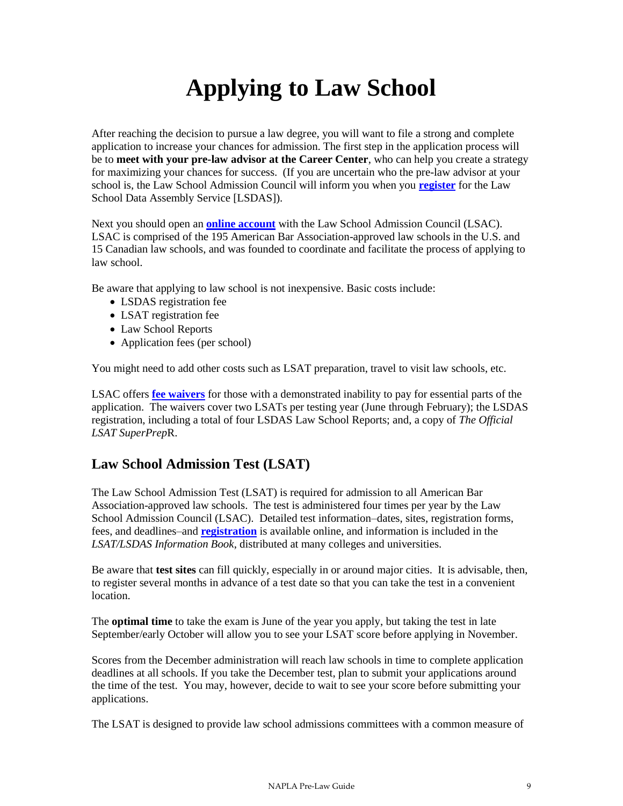# **Applying to Law School**

After reaching the decision to pursue a law degree, you will want to file a strong and complete application to increase your chances for admission. The first step in the application process will be to **meet with your pre-law advisor at the Career Center**, who can help you create a strategy for maximizing your chances for success. (If you are uncertain who the pre-law advisor at your school is, the Law School Admission Council will inform you when you **[register](https://os.lsac.org/Release/logon/logon.aspx)** for the Law School Data Assembly Service [LSDAS]).

Next you should open an **[online account](http://www.lsac.com/Release/logon/logon.aspx)** with the Law School Admission Council (LSAC). LSAC is comprised of the 195 American Bar Association-approved law schools in the U.S. and 15 Canadian law schools, and was founded to coordinate and facilitate the process of applying to law school.

Be aware that applying to law school is not inexpensive. Basic costs include:

- LSDAS registration fee
- LSAT registration fee
- Law School Reports
- Application fees (per school)

You might need to add other costs such as LSAT preparation, travel to visit law schools, etc.

LSAC offers **[fee waivers](http://www.lsac.org/)** for those with a demonstrated inability to pay for essential parts of the application. The waivers cover two LSATs per testing year (June through February); the LSDAS registration, including a total of four LSDAS Law School Reports; and, a copy of *The Official LSAT SuperPrep*R.

## **Law School Admission Test (LSAT)**

The Law School Admission Test (LSAT) is required for admission to all American Bar Association-approved law schools. The test is administered four times per year by the Law School Admission Council (LSAC). Detailed test information–dates, sites, registration forms, fees, and deadlines–and **[registration](https://os.lsac.org/Release/logon/logon.aspx)** is available online, and information is included in the *LSAT/LSDAS Information Book*, distributed at many colleges and universities.

Be aware that **test sites** can fill quickly, especially in or around major cities. It is advisable, then, to register several months in advance of a test date so that you can take the test in a convenient location.

The **optimal time** to take the exam is June of the year you apply, but taking the test in late September/early October will allow you to see your LSAT score before applying in November.

Scores from the December administration will reach law schools in time to complete application deadlines at all schools. If you take the December test, plan to submit your applications around the time of the test. You may, however, decide to wait to see your score before submitting your applications.

The LSAT is designed to provide law school admissions committees with a common measure of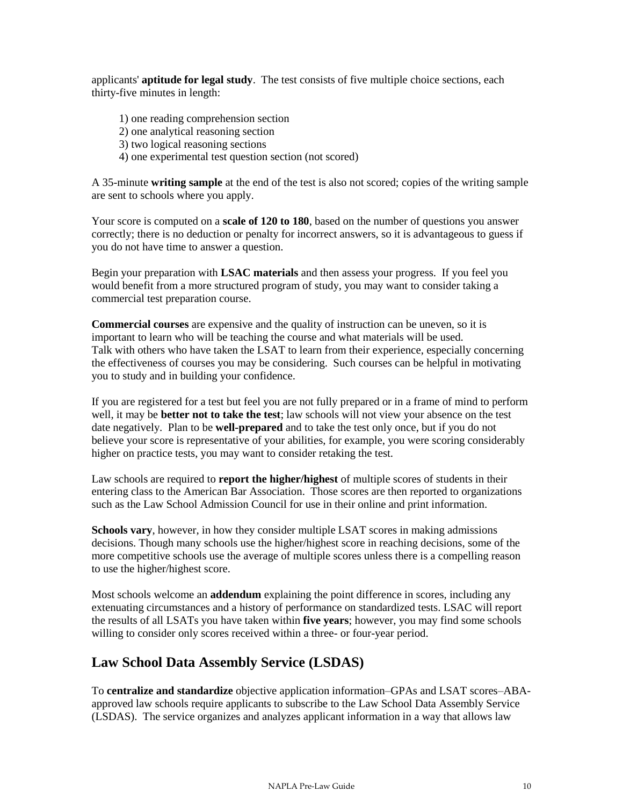applicants' **aptitude for legal study**. The test consists of five multiple choice sections, each thirty-five minutes in length:

- 1) one reading comprehension section
- 2) one analytical reasoning section
- 3) two logical reasoning sections
- 4) one experimental test question section (not scored)

A 35-minute **writing sample** at the end of the test is also not scored; copies of the writing sample are sent to schools where you apply.

Your score is computed on a **scale of 120 to 180**, based on the number of questions you answer correctly; there is no deduction or penalty for incorrect answers, so it is advantageous to guess if you do not have time to answer a question.

Begin your preparation with **LSAC materials** and then assess your progress. If you feel you would benefit from a more structured program of study, you may want to consider taking a commercial test preparation course.

**Commercial courses** are expensive and the quality of instruction can be uneven, so it is important to learn who will be teaching the course and what materials will be used. Talk with others who have taken the LSAT to learn from their experience, especially concerning the effectiveness of courses you may be considering. Such courses can be helpful in motivating you to study and in building your confidence.

If you are registered for a test but feel you are not fully prepared or in a frame of mind to perform well, it may be **better not to take the test**; law schools will not view your absence on the test date negatively. Plan to be **well-prepared** and to take the test only once, but if you do not believe your score is representative of your abilities, for example, you were scoring considerably higher on practice tests, you may want to consider retaking the test.

Law schools are required to **report the higher/highest** of multiple scores of students in their entering class to the American Bar Association. Those scores are then reported to organizations such as the Law School Admission Council for use in their online and print information.

**Schools vary**, however, in how they consider multiple LSAT scores in making admissions decisions. Though many schools use the higher/highest score in reaching decisions, some of the more competitive schools use the average of multiple scores unless there is a compelling reason to use the higher/highest score.

Most schools welcome an **addendum** explaining the point difference in scores, including any extenuating circumstances and a history of performance on standardized tests. LSAC will report the results of all LSATs you have taken within **five years**; however, you may find some schools willing to consider only scores received within a three- or four-year period.

## **Law School Data Assembly Service (LSDAS)**

To **centralize and standardize** objective application information–GPAs and LSAT scores–ABAapproved law schools require applicants to subscribe to the Law School Data Assembly Service (LSDAS). The service organizes and analyzes applicant information in a way that allows law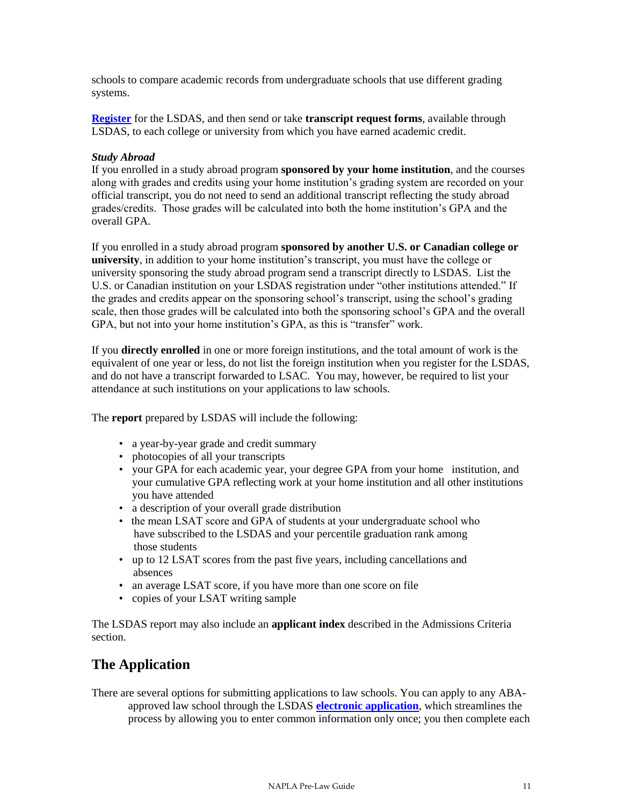schools to compare academic records from undergraduate schools that use different grading systems.

**[Register](https://os.lsac.org/Release/logon/logon.aspx)** for the LSDAS, and then send or take **transcript request forms**, available through LSDAS, to each college or university from which you have earned academic credit.

#### *Study Abroad*

If you enrolled in a study abroad program **sponsored by your home institution**, and the courses along with grades and credits using your home institution's grading system are recorded on your official transcript, you do not need to send an additional transcript reflecting the study abroad grades/credits. Those grades will be calculated into both the home institution's GPA and the overall GPA.

If you enrolled in a study abroad program **sponsored by another U.S. or Canadian college or university**, in addition to your home institution's transcript, you must have the college or university sponsoring the study abroad program send a transcript directly to LSDAS. List the U.S. or Canadian institution on your LSDAS registration under "other institutions attended." If the grades and credits appear on the sponsoring school's transcript, using the school's grading scale, then those grades will be calculated into both the sponsoring school's GPA and the overall GPA, but not into your home institution's GPA, as this is "transfer" work.

If you **directly enrolled** in one or more foreign institutions, and the total amount of work is the equivalent of one year or less, do not list the foreign institution when you register for the LSDAS, and do not have a transcript forwarded to LSAC. You may, however, be required to list your attendance at such institutions on your applications to law schools.

The **report** prepared by LSDAS will include the following:

- a year-by-year grade and credit summary
- photocopies of all your transcripts
- your GPA for each academic year, your degree GPA from your home institution, and your cumulative GPA reflecting work at your home institution and all other institutions you have attended
- a description of your overall grade distribution
- the mean LSAT score and GPA of students at your undergraduate school who have subscribed to the LSDAS and your percentile graduation rank among those students
- up to 12 LSAT scores from the past five years, including cancellations and absences
- an average LSAT score, if you have more than one score on file
- copies of your LSAT writing sample

The LSDAS report may also include an **applicant index** described in the Admissions Criteria section.

### **The Application**

There are several options for submitting applications to law schools. You can apply to any ABAapproved law school through the LSDAS **[electronic application](http://os.lsac.org/Release/logon/logon.aspx)**, which streamlines the process by allowing you to enter common information only once; you then complete each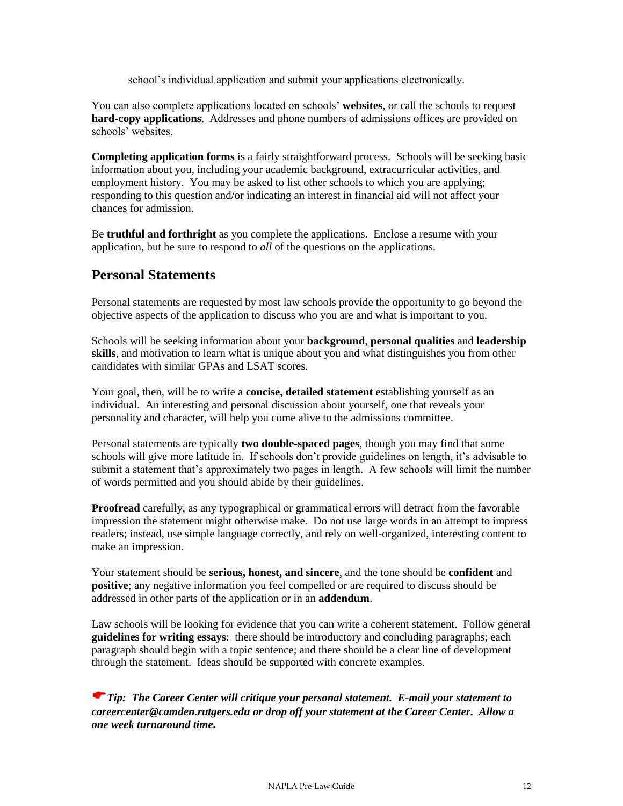school's individual application and submit your applications electronically.

You can also complete applications located on schools' **websites**, or call the schools to request **hard-copy applications**. Addresses and phone numbers of admissions offices are provided on schools' websites.

**Completing application forms** is a fairly straightforward process. Schools will be seeking basic information about you, including your academic background, extracurricular activities, and employment history. You may be asked to list other schools to which you are applying; responding to this question and/or indicating an interest in financial aid will not affect your chances for admission.

Be **truthful and forthright** as you complete the applications. Enclose a resume with your application, but be sure to respond to *all* of the questions on the applications.

## **Personal Statements**

Personal statements are requested by most law schools provide the opportunity to go beyond the objective aspects of the application to discuss who you are and what is important to you.

Schools will be seeking information about your **background**, **personal qualities** and **leadership skills**, and motivation to learn what is unique about you and what distinguishes you from other candidates with similar GPAs and LSAT scores.

Your goal, then, will be to write a **concise, detailed statement** establishing yourself as an individual. An interesting and personal discussion about yourself, one that reveals your personality and character, will help you come alive to the admissions committee.

Personal statements are typically **two double-spaced pages**, though you may find that some schools will give more latitude in. If schools don't provide guidelines on length, it's advisable to submit a statement that's approximately two pages in length. A few schools will limit the number of words permitted and you should abide by their guidelines.

**Proofread** carefully, as any typographical or grammatical errors will detract from the favorable impression the statement might otherwise make. Do not use large words in an attempt to impress readers; instead, use simple language correctly, and rely on well-organized, interesting content to make an impression.

Your statement should be **serious, honest, and sincere**, and the tone should be **confident** and **positive**; any negative information you feel compelled or are required to discuss should be addressed in other parts of the application or in an **addendum**.

Law schools will be looking for evidence that you can write a coherent statement. Follow general **guidelines for writing essays**: there should be introductory and concluding paragraphs; each paragraph should begin with a topic sentence; and there should be a clear line of development through the statement. Ideas should be supported with concrete examples.

*Tip: The Career Center will critique your personal statement. E-mail your statement to careercenter@camden.rutgers.edu or drop off your statement at the Career Center. Allow a one week turnaround time.*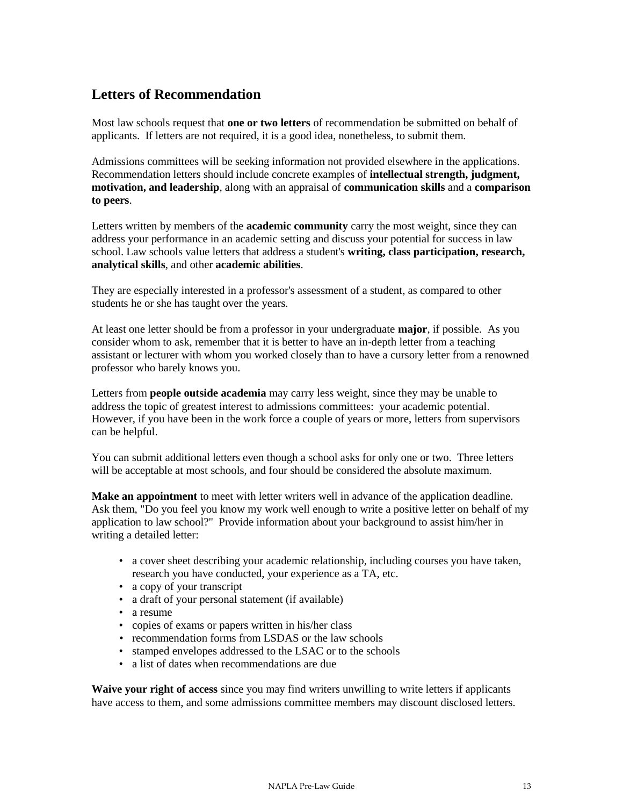## **Letters of Recommendation**

Most law schools request that **one or two letters** of recommendation be submitted on behalf of applicants. If letters are not required, it is a good idea, nonetheless, to submit them.

Admissions committees will be seeking information not provided elsewhere in the applications. Recommendation letters should include concrete examples of **intellectual strength, judgment, motivation, and leadership**, along with an appraisal of **communication skills** and a **comparison to peers**.

Letters written by members of the **academic community** carry the most weight, since they can address your performance in an academic setting and discuss your potential for success in law school. Law schools value letters that address a student's **writing, class participation, research, analytical skills**, and other **academic abilities**.

They are especially interested in a professor's assessment of a student, as compared to other students he or she has taught over the years.

At least one letter should be from a professor in your undergraduate **major**, if possible. As you consider whom to ask, remember that it is better to have an in-depth letter from a teaching assistant or lecturer with whom you worked closely than to have a cursory letter from a renowned professor who barely knows you.

Letters from **people outside academia** may carry less weight, since they may be unable to address the topic of greatest interest to admissions committees: your academic potential. However, if you have been in the work force a couple of years or more, letters from supervisors can be helpful.

You can submit additional letters even though a school asks for only one or two. Three letters will be acceptable at most schools, and four should be considered the absolute maximum.

**Make an appointment** to meet with letter writers well in advance of the application deadline. Ask them, "Do you feel you know my work well enough to write a positive letter on behalf of my application to law school?" Provide information about your background to assist him/her in writing a detailed letter:

- a cover sheet describing your academic relationship, including courses you have taken, research you have conducted, your experience as a TA, etc.
- a copy of your transcript
- a draft of your personal statement (if available)
- a resume
- copies of exams or papers written in his/her class
- recommendation forms from LSDAS or the law schools
- stamped envelopes addressed to the LSAC or to the schools
- a list of dates when recommendations are due

**Waive your right of access** since you may find writers unwilling to write letters if applicants have access to them, and some admissions committee members may discount disclosed letters.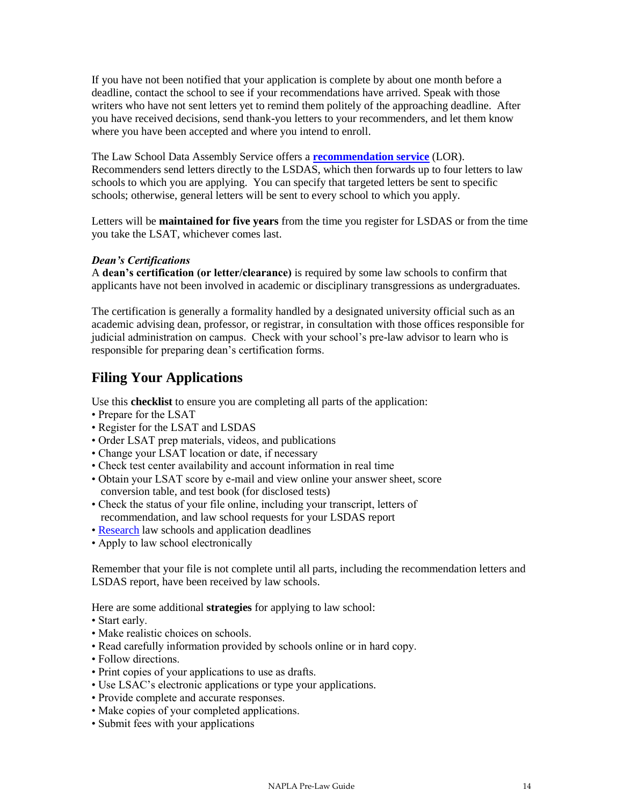If you have not been notified that your application is complete by about one month before a deadline, contact the school to see if your recommendations have arrived. Speak with those writers who have not sent letters yet to remind them politely of the approaching deadline. After you have received decisions, send thank-you letters to your recommenders, and let them know where you have been accepted and where you intend to enroll.

The Law School Data Assembly Service offers a **[recommendation service](http://www.lsac.org/LSAC.asp?url=lsac/letters-of-recommendation.asp)** (LOR). Recommenders send letters directly to the LSDAS, which then forwards up to four letters to law schools to which you are applying. You can specify that targeted letters be sent to specific schools; otherwise, general letters will be sent to every school to which you apply.

Letters will be **maintained for five years** from the time you register for LSDAS or from the time you take the LSAT, whichever comes last.

#### *Dean's Certifications*

A **dean's certification (or letter/clearance)** is required by some law schools to confirm that applicants have not been involved in academic or disciplinary transgressions as undergraduates.

The certification is generally a formality handled by a designated university official such as an academic advising dean, professor, or registrar, in consultation with those offices responsible for judicial administration on campus. Check with your school's pre-law advisor to learn who is responsible for preparing dean's certification forms.

## **Filing Your Applications**

Use this **checklist** to ensure you are completing all parts of the application:

- Prepare for the LSAT
- Register for the LSAT and LSDAS
- Order LSAT prep materials, videos, and publications
- Change your LSAT location or date, if necessary
- Check test center availability and account information in real time
- Obtain your LSAT score by e-mail and view online your answer sheet, score conversion table, and test book (for disclosed tests)
- Check the status of your file online, including your transcript, letters of recommendation, and law school requests for your LSDAS report
- • [Research](http://lsac.org/LSAC.asp?url=lsac/law-school-links.asp) law schools and application deadlines
- Apply to law school electronically

Remember that your file is not complete until all parts, including the recommendation letters and LSDAS report, have been received by law schools.

Here are some additional **strategies** for applying to law school:

- Start early.
- Make realistic choices on schools.
- Read carefully information provided by schools online or in hard copy.
- Follow directions.
- Print copies of your applications to use as drafts.
- Use LSAC's electronic applications or type your applications.
- Provide complete and accurate responses.
- Make copies of your completed applications.
- Submit fees with your applications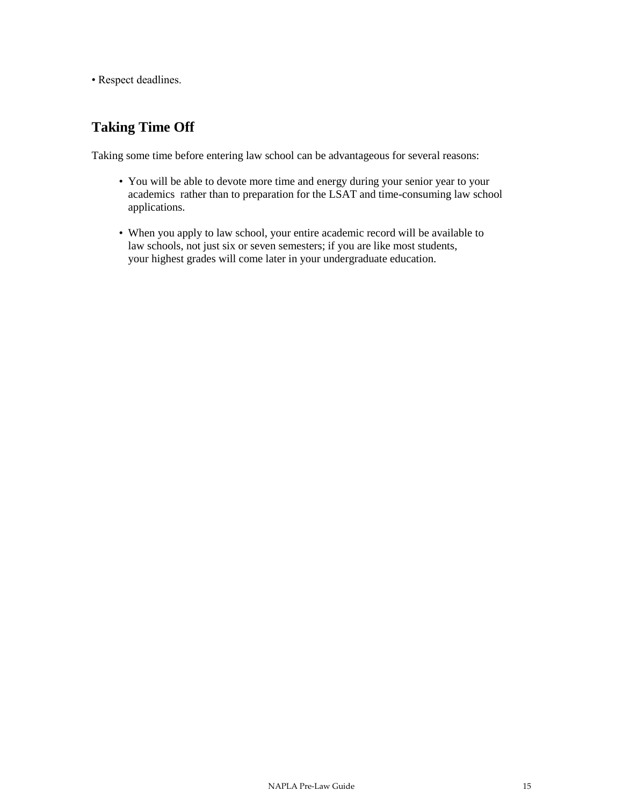• Respect deadlines.

## **Taking Time Off**

Taking some time before entering law school can be advantageous for several reasons:

- You will be able to devote more time and energy during your senior year to your academics rather than to preparation for the LSAT and time-consuming law school applications.
- When you apply to law school, your entire academic record will be available to law schools, not just six or seven semesters; if you are like most students, your highest grades will come later in your undergraduate education.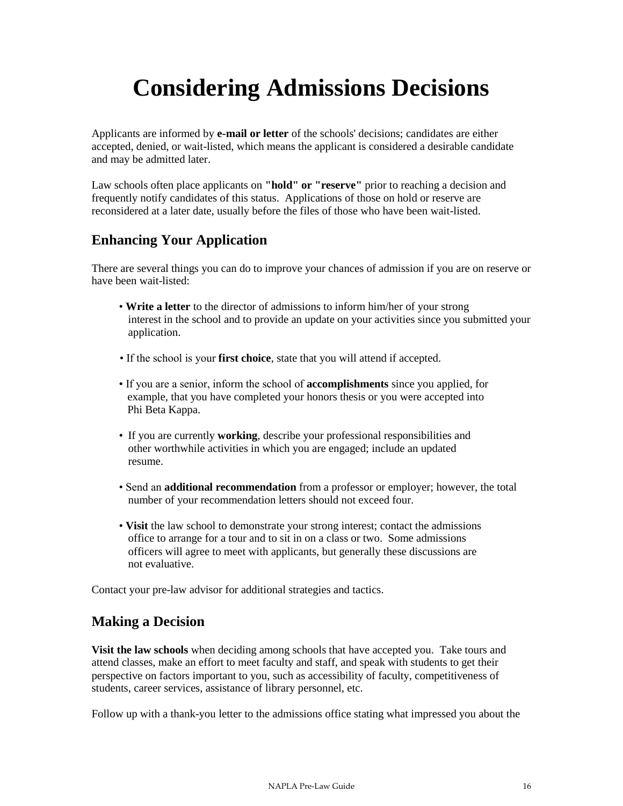# **Considering Admissions Decisions**

Applicants are informed by **e-mail or letter** of the schools' decisions; candidates are either accepted, denied, or wait-listed, which means the applicant is considered a desirable candidate and may be admitted later.

Law schools often place applicants on **"hold" or "reserve"** prior to reaching a decision and frequently notify candidates of this status. Applications of those on hold or reserve are reconsidered at a later date, usually before the files of those who have been wait-listed.

## **Enhancing Your Application**

There are several things you can do to improve your chances of admission if you are on reserve or have been wait-listed:

- **Write a letter** to the director of admissions to inform him/her of your strong interest in the school and to provide an update on your activities since you submitted your application.
- If the school is your **first choice**, state that you will attend if accepted.
- If you are a senior, inform the school of **accomplishments** since you applied, for example, that you have completed your honors thesis or you were accepted into Phi Beta Kappa.
- If you are currently **working**, describe your professional responsibilities and other worthwhile activities in which you are engaged; include an updated resume.
- Send an **additional recommendation** from a professor or employer; however, the total number of your recommendation letters should not exceed four.
- **Visit** the law school to demonstrate your strong interest; contact the admissions office to arrange for a tour and to sit in on a class or two. Some admissions officers will agree to meet with applicants, but generally these discussions are not evaluative.

Contact your pre-law advisor for additional strategies and tactics.

## **Making a Decision**

**Visit the law schools** when deciding among schools that have accepted you. Take tours and attend classes, make an effort to meet faculty and staff, and speak with students to get their perspective on factors important to you, such as accessibility of faculty, competitiveness of students, career services, assistance of library personnel, etc.

Follow up with a thank-you letter to the admissions office stating what impressed you about the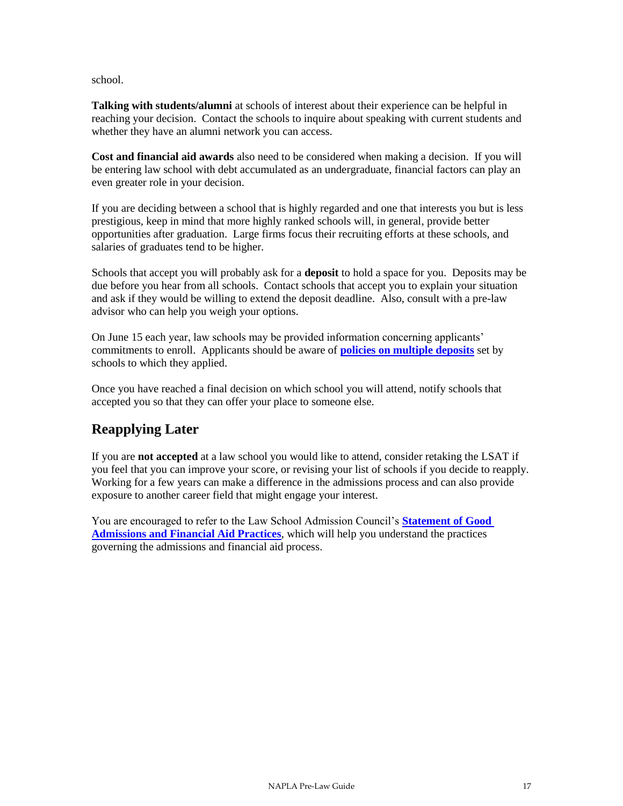#### school.

**Talking with students/alumni** at schools of interest about their experience can be helpful in reaching your decision. Contact the schools to inquire about speaking with current students and whether they have an alumni network you can access.

**Cost and financial aid awards** also need to be considered when making a decision. If you will be entering law school with debt accumulated as an undergraduate, financial factors can play an even greater role in your decision.

If you are deciding between a school that is highly regarded and one that interests you but is less prestigious, keep in mind that more highly ranked schools will, in general, provide better opportunities after graduation. Large firms focus their recruiting efforts at these schools, and salaries of graduates tend to be higher.

Schools that accept you will probably ask for a **deposit** to hold a space for you. Deposits may be due before you hear from all schools. Contact schools that accept you to explain your situation and ask if they would be willing to extend the deposit deadline. Also, consult with a pre-law advisor who can help you weigh your options.

On June 15 each year, law schools may be provided information concerning applicants' commitments to enroll. Applicants should be aware of **[policies on multiple deposits](http://www.lsac.org/pdfs/2007-2008/expectationsinadmissionprocess2007.pdf)** set by schools to which they applied.

Once you have reached a final decision on which school you will attend, notify schools that accepted you so that they can offer your place to someone else.

## **Reapplying Later**

If you are **not accepted** at a law school you would like to attend, consider retaking the LSAT if you feel that you can improve your score, or revising your list of schools if you decide to reapply. Working for a few years can make a difference in the admissions process and can also provide exposure to another career field that might engage your interest.

You are encouraged to refer to the Law School Admission Council's **[Statement of Good](http://www.lsac.org/pdfs/2007-2008/StatementofGoodAdm2007.pdf) [Admissions and Financial Aid Practices](http://www.lsac.org/pdfs/2007-2008/StatementofGoodAdm2007.pdf)**, which will help you understand the practices governing the admissions and financial aid process.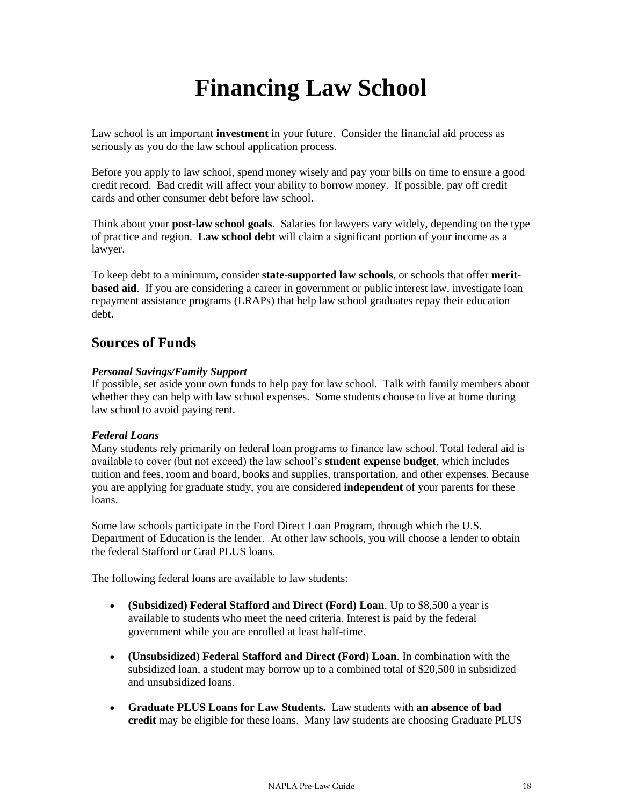# **Financing Law School**

Law school is an important **investment** in your future. Consider the financial aid process as seriously as you do the law school application process.

Before you apply to law school, spend money wisely and pay your bills on time to ensure a good credit record. Bad credit will affect your ability to borrow money. If possible, pay off credit cards and other consumer debt before law school.

Think about your **post-law school goals**. Salaries for lawyers vary widely, depending on the type of practice and region. **Law school debt** will claim a significant portion of your income as a lawyer.

To keep debt to a minimum, consider **state-supported law schools**, or schools that offer **meritbased aid.** If you are considering a career in government or public interest law, investigate loan repayment assistance programs (LRAPs) that help law school graduates repay their education debt.

### **Sources of Funds**

#### *Personal Savings/Family Support*

If possible, set aside your own funds to help pay for law school. Talk with family members about whether they can help with law school expenses. Some students choose to live at home during law school to avoid paying rent.

#### *Federal Loans*

Many students rely primarily on federal loan programs to finance law school. Total federal aid is available to cover (but not exceed) the law school's **student expense budget**, which includes tuition and fees, room and board, books and supplies, transportation, and other expenses. Because you are applying for graduate study, you are considered **independent** of your parents for these loans.

Some law schools participate in the Ford Direct Loan Program, through which the U.S. Department of Education is the lender. At other law schools, you will choose a lender to obtain the federal Stafford or Grad PLUS loans.

The following federal loans are available to law students:

- **(Subsidized) Federal Stafford and Direct (Ford) Loan**. Up to \$8,500 a year is available to students who meet the need criteria. Interest is paid by the federal government while you are enrolled at least half-time.
- **(Unsubsidized) Federal Stafford and Direct (Ford) Loan**. In combination with the subsidized loan, a student may borrow up to a combined total of \$20,500 in subsidized and unsubsidized loans.
- **Graduate PLUS Loans for Law Students.** Law students with **an absence of bad credit** may be eligible for these loans. Many law students are choosing Graduate PLUS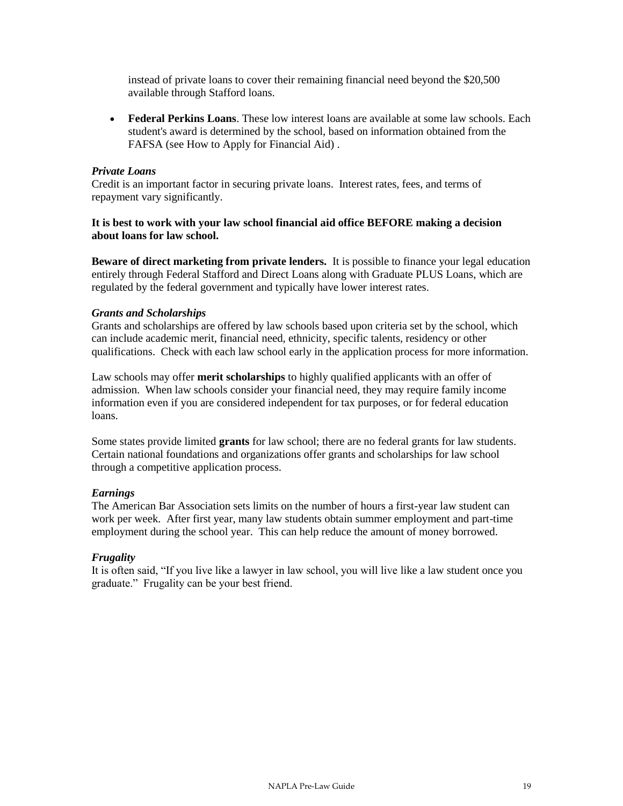instead of private loans to cover their remaining financial need beyond the \$20,500 available through Stafford loans.

 **Federal Perkins Loans**. These low interest loans are available at some law schools. Each student's award is determined by the school, based on information obtained from the FAFSA (see How to Apply for Financial Aid) .

#### *Private Loans*

Credit is an important factor in securing private loans. Interest rates, fees, and terms of repayment vary significantly.

#### **It is best to work with your law school financial aid office BEFORE making a decision about loans for law school.**

**Beware of direct marketing from private lenders.** It is possible to finance your legal education entirely through Federal Stafford and Direct Loans along with Graduate PLUS Loans, which are regulated by the federal government and typically have lower interest rates.

#### *Grants and Scholarships*

Grants and scholarships are offered by law schools based upon criteria set by the school, which can include academic merit, financial need, ethnicity, specific talents, residency or other qualifications. Check with each law school early in the application process for more information.

Law schools may offer **merit scholarships** to highly qualified applicants with an offer of admission. When law schools consider your financial need, they may require family income information even if you are considered independent for tax purposes, or for federal education loans.

Some states provide limited **grants** for law school; there are no federal grants for law students. Certain national foundations and organizations offer grants and scholarships for law school through a competitive application process.

#### *Earnings*

The American Bar Association sets limits on the number of hours a first-year law student can work per week. After first year, many law students obtain summer employment and part-time employment during the school year. This can help reduce the amount of money borrowed.

#### *Frugality*

It is often said, "If you live like a lawyer in law school, you will live like a law student once you graduate." Frugality can be your best friend.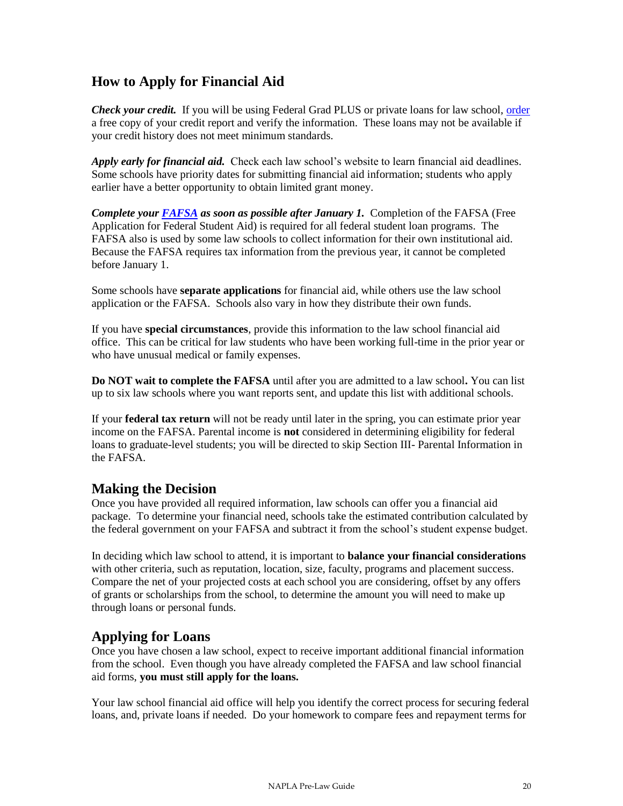## **How to Apply for Financial Aid**

*Check your credit.* If you will be using Federal Grad PLUS or private loans for law school, [order](http://www.annualcreditreport.com/)  a free copy of your credit report and verify the information. These loans may not be available if your credit history does not meet minimum standards.

*Apply early for financial aid.* Check each law school's website to learn financial aid deadlines. Some schools have priority dates for submitting financial aid information; students who apply earlier have a better opportunity to obtain limited grant money.

*Complete your [FAFSA](http://www.fafsa.ed.gov/) as soon as possible after January 1.* Completion of the FAFSA (Free Application for Federal Student Aid) is required for all federal student loan programs. The FAFSA also is used by some law schools to collect information for their own institutional aid. Because the FAFSA requires tax information from the previous year, it cannot be completed before January 1.

Some schools have **separate applications** for financial aid, while others use the law school application or the FAFSA. Schools also vary in how they distribute their own funds.

If you have **special circumstances**, provide this information to the law school financial aid office. This can be critical for law students who have been working full-time in the prior year or who have unusual medical or family expenses.

**Do NOT wait to complete the FAFSA** until after you are admitted to a law school**.** You can list up to six law schools where you want reports sent, and update this list with additional schools.

If your **federal tax return** will not be ready until later in the spring, you can estimate prior year income on the FAFSA. Parental income is **not** considered in determining eligibility for federal loans to graduate-level students; you will be directed to skip Section III- Parental Information in the FAFSA.

### **Making the Decision**

Once you have provided all required information, law schools can offer you a financial aid package. To determine your financial need, schools take the estimated contribution calculated by the federal government on your FAFSA and subtract it from the school's student expense budget.

In deciding which law school to attend, it is important to **balance your financial considerations** with other criteria, such as reputation, location, size, faculty, programs and placement success. Compare the net of your projected costs at each school you are considering, offset by any offers of grants or scholarships from the school, to determine the amount you will need to make up through loans or personal funds.

### **Applying for Loans**

Once you have chosen a law school, expect to receive important additional financial information from the school. Even though you have already completed the FAFSA and law school financial aid forms, **you must still apply for the loans.** 

Your law school financial aid office will help you identify the correct process for securing federal loans, and, private loans if needed. Do your homework to compare fees and repayment terms for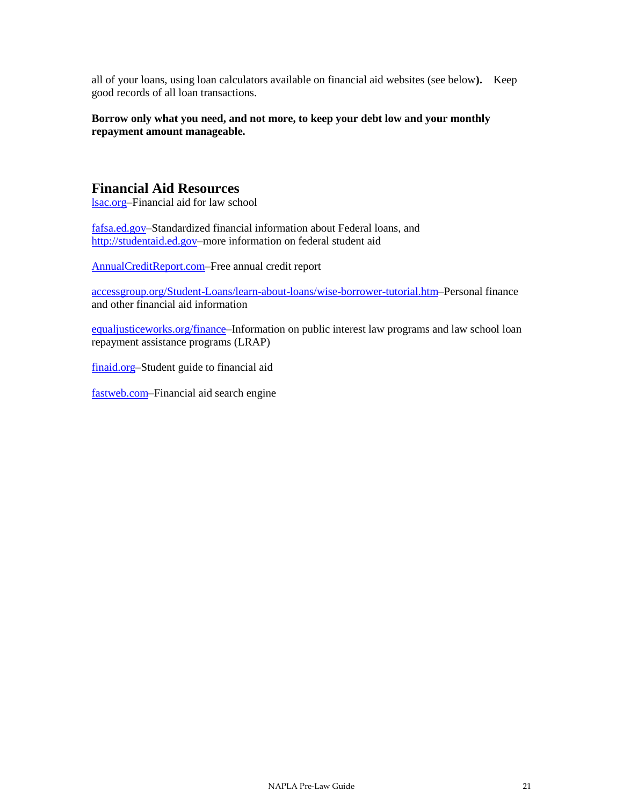all of your loans, using loan calculators available on financial aid websites (see below**).** Keep good records of all loan transactions.

#### **Borrow only what you need, and not more, to keep your debt low and your monthly repayment amount manageable.**

#### **Financial Aid Resources**

[lsac.org–](http://www.lsac.org/)Financial aid for law school

[fafsa.ed.gov–](http://www.fafsa.ed.gov/)Standardized financial information about Federal loans, and [http://studentaid.ed.gov–](http://studentaid.ed.gov/)more information on federal student aid

[AnnualCreditReport.com–](http://www.annualcreditreport.com/)Free annual credit report

[accessgroup.org/Student-Loans/learn-about-loans/wise-borrower-tutorial.htm–](http://www.accessgroup.org/Student-Loans/learn-about-loans/wise-borrower-tutorial.htm)Personal finance and other financial aid information

[equaljusticeworks.org/finance–](http://www.equaljusticeworks.org/finance)Information on public interest law programs and law school loan repayment assistance programs (LRAP)

[finaid.org–](http://www.finaid.org/)Student guide to financial aid

[fastweb.com–](http://www.fastweb.com/)Financial aid search engine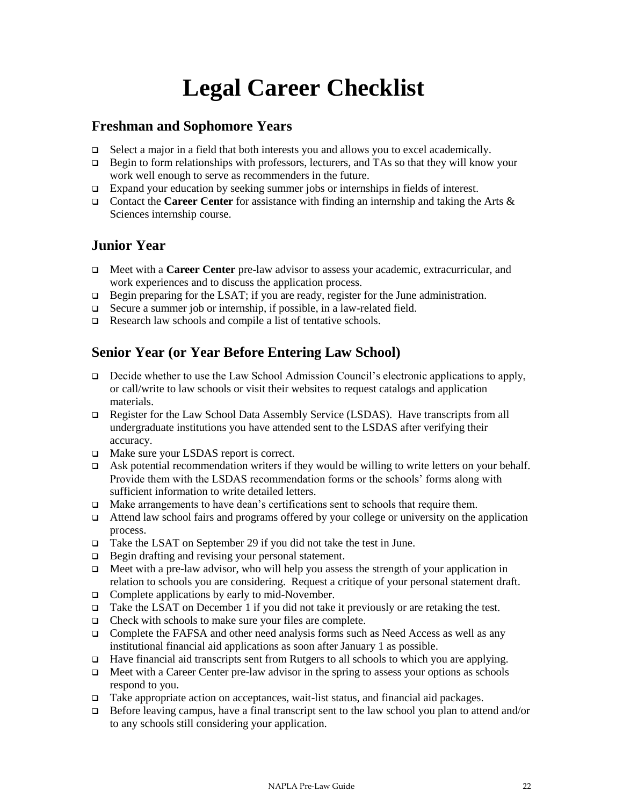# **Legal Career Checklist**

## **Freshman and Sophomore Years**

- $\Box$  Select a major in a field that both interests you and allows you to excel academically.
- □ Begin to form relationships with professors, lecturers, and TAs so that they will know your work well enough to serve as recommenders in the future.
- Expand your education by seeking summer jobs or internships in fields of interest.
- Contact the **Career Center** for assistance with finding an internship and taking the Arts & Sciences internship course.

## **Junior Year**

- Meet with a **Career Center** pre-law advisor to assess your academic, extracurricular, and work experiences and to discuss the application process.
- $\Box$  Begin preparing for the LSAT; if you are ready, register for the June administration.
- □ Secure a summer job or internship, if possible, in a law-related field.
- Research law schools and compile a list of tentative schools.

## **Senior Year (or Year Before Entering Law School)**

- Decide whether to use the Law School Admission Council's electronic applications to apply, or call/write to law schools or visit their websites to request catalogs and application materials.
- Register for the Law School Data Assembly Service (LSDAS). Have transcripts from all undergraduate institutions you have attended sent to the LSDAS after verifying their accuracy.
- □ Make sure your LSDAS report is correct.
- Ask potential recommendation writers if they would be willing to write letters on your behalf. Provide them with the LSDAS recommendation forms or the schools' forms along with sufficient information to write detailed letters.
- $\Box$  Make arrangements to have dean's certifications sent to schools that require them.
- $\Box$  Attend law school fairs and programs offered by your college or university on the application process.
- □ Take the LSAT on September 29 if you did not take the test in June.
- $\Box$  Begin drafting and revising your personal statement.
- $\Box$  Meet with a pre-law advisor, who will help you assess the strength of your application in relation to schools you are considering. Request a critique of your personal statement draft.
- $\Box$  Complete applications by early to mid-November.
- Take the LSAT on December 1 if you did not take it previously or are retaking the test.
- □ Check with schools to make sure your files are complete.
- Complete the FAFSA and other need analysis forms such as Need Access as well as any institutional financial aid applications as soon after January 1 as possible.
- Have financial aid transcripts sent from Rutgers to all schools to which you are applying.
- $\Box$  Meet with a Career Center pre-law advisor in the spring to assess your options as schools respond to you.
- $\Box$  Take appropriate action on acceptances, wait-list status, and financial aid packages.
- □ Before leaving campus, have a final transcript sent to the law school you plan to attend and/or to any schools still considering your application.